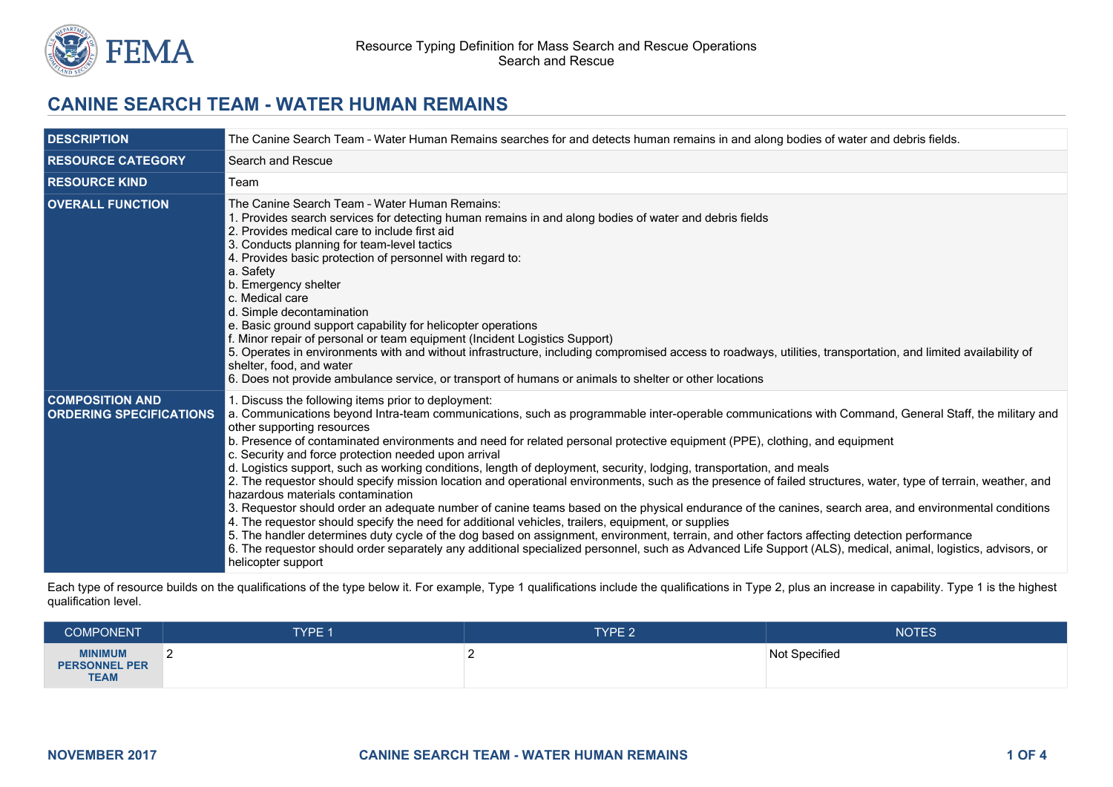

# **CANINE SEARCH TEAM - WATER HUMAN REMAINS**

| <b>DESCRIPTION</b>                                       | The Canine Search Team - Water Human Remains searches for and detects human remains in and along bodies of water and debris fields.                                                                                                                                                                                                                                                                                                                                                                                                                                                                                                                                                                                                                                                                                                                                                                                                                                                                                                                                                                                                                                                                                                                                                                                                                                  |  |  |
|----------------------------------------------------------|----------------------------------------------------------------------------------------------------------------------------------------------------------------------------------------------------------------------------------------------------------------------------------------------------------------------------------------------------------------------------------------------------------------------------------------------------------------------------------------------------------------------------------------------------------------------------------------------------------------------------------------------------------------------------------------------------------------------------------------------------------------------------------------------------------------------------------------------------------------------------------------------------------------------------------------------------------------------------------------------------------------------------------------------------------------------------------------------------------------------------------------------------------------------------------------------------------------------------------------------------------------------------------------------------------------------------------------------------------------------|--|--|
| <b>RESOURCE CATEGORY</b>                                 | Search and Rescue                                                                                                                                                                                                                                                                                                                                                                                                                                                                                                                                                                                                                                                                                                                                                                                                                                                                                                                                                                                                                                                                                                                                                                                                                                                                                                                                                    |  |  |
| <b>RESOURCE KIND</b>                                     | Team                                                                                                                                                                                                                                                                                                                                                                                                                                                                                                                                                                                                                                                                                                                                                                                                                                                                                                                                                                                                                                                                                                                                                                                                                                                                                                                                                                 |  |  |
| <b>OVERALL FUNCTION</b>                                  | The Canine Search Team - Water Human Remains:<br>1. Provides search services for detecting human remains in and along bodies of water and debris fields<br>2. Provides medical care to include first aid<br>3. Conducts planning for team-level tactics<br>4. Provides basic protection of personnel with regard to:<br>a. Safety<br>b. Emergency shelter<br>c. Medical care<br>d. Simple decontamination<br>e. Basic ground support capability for helicopter operations<br>f. Minor repair of personal or team equipment (Incident Logistics Support)<br>5. Operates in environments with and without infrastructure, including compromised access to roadways, utilities, transportation, and limited availability of<br>shelter, food, and water<br>6. Does not provide ambulance service, or transport of humans or animals to shelter or other locations                                                                                                                                                                                                                                                                                                                                                                                                                                                                                                       |  |  |
| <b>COMPOSITION AND</b><br><b>ORDERING SPECIFICATIONS</b> | 1. Discuss the following items prior to deployment:<br>a. Communications beyond Intra-team communications, such as programmable inter-operable communications with Command, General Staff, the military and<br>other supporting resources<br>b. Presence of contaminated environments and need for related personal protective equipment (PPE), clothing, and equipment<br>c. Security and force protection needed upon arrival<br>d. Logistics support, such as working conditions, length of deployment, security, lodging, transportation, and meals<br>2. The requestor should specify mission location and operational environments, such as the presence of failed structures, water, type of terrain, weather, and<br>hazardous materials contamination<br>3. Requestor should order an adequate number of canine teams based on the physical endurance of the canines, search area, and environmental conditions<br>4. The requestor should specify the need for additional vehicles, trailers, equipment, or supplies<br>5. The handler determines duty cycle of the dog based on assignment, environment, terrain, and other factors affecting detection performance<br>6. The requestor should order separately any additional specialized personnel, such as Advanced Life Support (ALS), medical, animal, logistics, advisors, or<br>helicopter support |  |  |

Each type of resource builds on the qualifications of the type below it. For example, Type 1 qualifications include the qualifications in Type 2, plus an increase in capability. Type 1 is the highest qualification level.

| <b>COMPONENT</b>                                      | TYPE 1 | <b>TYPE 2</b> | <b>NOTES</b>  |
|-------------------------------------------------------|--------|---------------|---------------|
| <b>MINIMUM</b><br><b>PERSONNEL PER</b><br><b>TEAM</b> |        |               | Not Specified |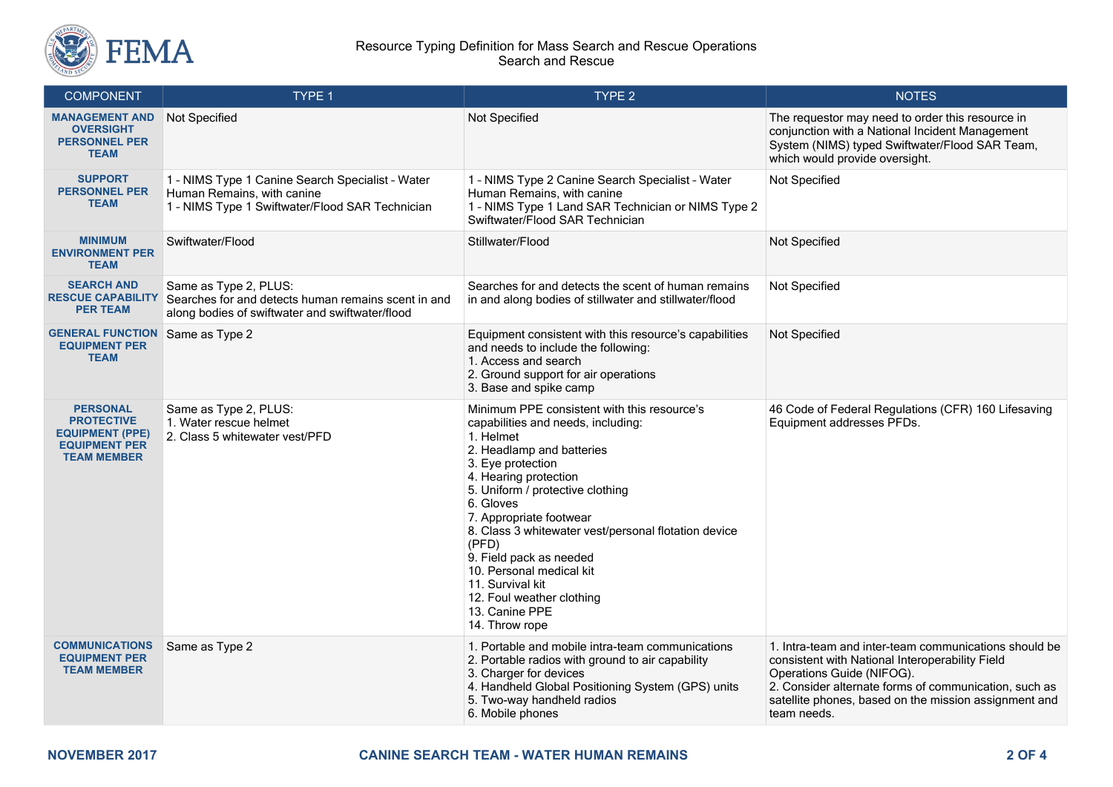

#### Resource Typing Definition for Mass Search and Rescue Operations Search and Rescue

| <b>COMPONENT</b>                                                                                             | TYPE 1                                                                                                                            | TYPE 2                                                                                                                                                                                                                                                                                                                                                                                                                                                             | <b>NOTES</b>                                                                                                                                                                                                                                                           |
|--------------------------------------------------------------------------------------------------------------|-----------------------------------------------------------------------------------------------------------------------------------|--------------------------------------------------------------------------------------------------------------------------------------------------------------------------------------------------------------------------------------------------------------------------------------------------------------------------------------------------------------------------------------------------------------------------------------------------------------------|------------------------------------------------------------------------------------------------------------------------------------------------------------------------------------------------------------------------------------------------------------------------|
| <b>MANAGEMENT AND</b><br><b>OVERSIGHT</b><br><b>PERSONNEL PER</b><br><b>TEAM</b>                             | Not Specified                                                                                                                     | Not Specified                                                                                                                                                                                                                                                                                                                                                                                                                                                      | The requestor may need to order this resource in<br>conjunction with a National Incident Management<br>System (NIMS) typed Swiftwater/Flood SAR Team,<br>which would provide oversight.                                                                                |
| <b>SUPPORT</b><br><b>PERSONNEL PER</b><br><b>TEAM</b>                                                        | 1 - NIMS Type 1 Canine Search Specialist - Water<br>Human Remains, with canine<br>1 - NIMS Type 1 Swiftwater/Flood SAR Technician | 1 - NIMS Type 2 Canine Search Specialist - Water<br>Human Remains, with canine<br>1 - NIMS Type 1 Land SAR Technician or NIMS Type 2<br>Swiftwater/Flood SAR Technician                                                                                                                                                                                                                                                                                            | Not Specified                                                                                                                                                                                                                                                          |
| <b>MINIMUM</b><br><b>ENVIRONMENT PER</b><br><b>TEAM</b>                                                      | Swiftwater/Flood                                                                                                                  | Stillwater/Flood                                                                                                                                                                                                                                                                                                                                                                                                                                                   | Not Specified                                                                                                                                                                                                                                                          |
| <b>SEARCH AND</b><br><b>RESCUE CAPABILITY</b><br><b>PER TEAM</b>                                             | Same as Type 2, PLUS:<br>Searches for and detects human remains scent in and<br>along bodies of swiftwater and swiftwater/flood   | Searches for and detects the scent of human remains<br>in and along bodies of stillwater and stillwater/flood                                                                                                                                                                                                                                                                                                                                                      | Not Specified                                                                                                                                                                                                                                                          |
| <b>GENERAL FUNCTION</b> Same as Type 2<br><b>EQUIPMENT PER</b><br><b>TEAM</b>                                |                                                                                                                                   | Equipment consistent with this resource's capabilities<br>and needs to include the following:<br>1. Access and search<br>2. Ground support for air operations<br>3. Base and spike camp                                                                                                                                                                                                                                                                            | Not Specified                                                                                                                                                                                                                                                          |
| <b>PERSONAL</b><br><b>PROTECTIVE</b><br><b>EQUIPMENT (PPE)</b><br><b>EQUIPMENT PER</b><br><b>TEAM MEMBER</b> | Same as Type 2, PLUS:<br>1. Water rescue helmet<br>2. Class 5 whitewater vest/PFD                                                 | Minimum PPE consistent with this resource's<br>capabilities and needs, including:<br>1. Helmet<br>2. Headlamp and batteries<br>3. Eye protection<br>4. Hearing protection<br>5. Uniform / protective clothing<br>6. Gloves<br>7. Appropriate footwear<br>8. Class 3 whitewater vest/personal flotation device<br>(PFD)<br>9. Field pack as needed<br>10. Personal medical kit<br>11. Survival kit<br>12. Foul weather clothing<br>13. Canine PPE<br>14. Throw rope | 46 Code of Federal Regulations (CFR) 160 Lifesaving<br>Equipment addresses PFDs.                                                                                                                                                                                       |
| <b>COMMUNICATIONS</b><br><b>EQUIPMENT PER</b><br><b>TEAM MEMBER</b>                                          | Same as Type 2                                                                                                                    | 1. Portable and mobile intra-team communications<br>2. Portable radios with ground to air capability<br>3. Charger for devices<br>4. Handheld Global Positioning System (GPS) units<br>5. Two-way handheld radios<br>6. Mobile phones                                                                                                                                                                                                                              | 1. Intra-team and inter-team communications should be<br>consistent with National Interoperability Field<br>Operations Guide (NIFOG).<br>2. Consider alternate forms of communication, such as<br>satellite phones, based on the mission assignment and<br>team needs. |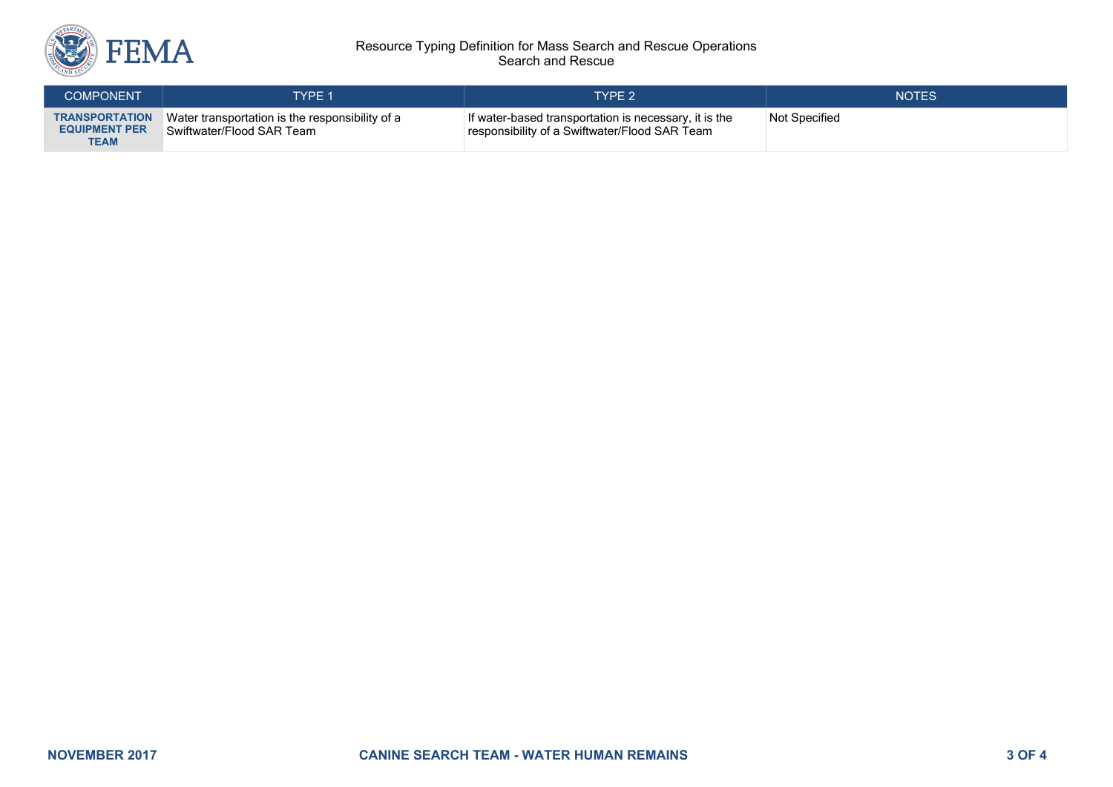

#### Resource Typing Definition for Mass Search and Rescue Operations Search and Rescue

| <b>COMPONENT</b>                                             | <b>TYPE 1</b>                                                                | TYPE 2'                                                                                                | <b>NOTES</b>  |
|--------------------------------------------------------------|------------------------------------------------------------------------------|--------------------------------------------------------------------------------------------------------|---------------|
| <b>TRANSPORTATION</b><br><b>EQUIPMENT PER</b><br><b>TEAM</b> | Water transportation is the responsibility of a<br>Swiftwater/Flood SAR Team | If water-based transportation is necessary, it is the<br>responsibility of a Swiftwater/Flood SAR Team | Not Specified |